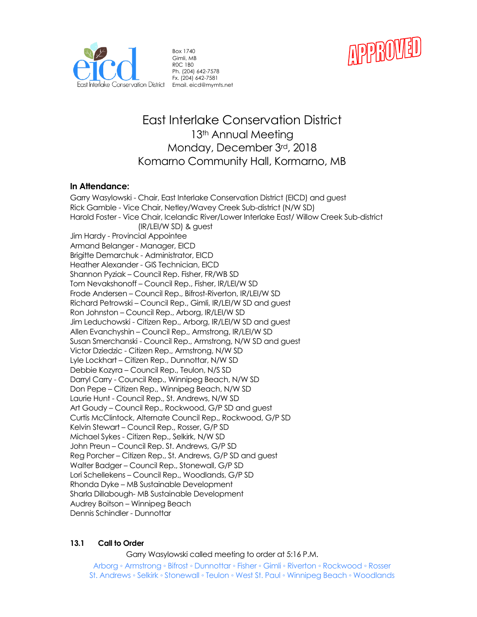



Box 1740 Gimli, MB R0C 1B0 Ph. (204) 642-7578 Fx. (204) 642-7581

# East Interlake Conservation District 13<sup>th</sup> Annual Meeting Monday, December 3rd, 2018 Komarno Community Hall, Kormarno, MB

# **In Attendance:**

Garry Wasylowski - Chair, East Interlake Conservation District (EICD) and guest Rick Gamble - Vice Chair, Netley/Wavey Creek Sub-district (N/W SD) Harold Foster - Vice Chair, Icelandic River/Lower Interlake East/ Willow Creek Sub-district (IR/LEI/W SD) & guest Jim Hardy - Provincial Appointee Armand Belanger - Manager, EICD Brigitte Demarchuk - Administrator, EICD Heather Alexander - GIS Technician, EICD Shannon Pyziak – Council Rep. Fisher, FR/WB SD Tom Nevakshonoff – Council Rep., Fisher, IR/LEI/W SD Frode Andersen – Council Rep., Bifrost-Riverton, IR/LEI/W SD Richard Petrowski – Council Rep., Gimli, IR/LEI/W SD and guest Ron Johnston – Council Rep., Arborg, IR/LEI/W SD Jim Leduchowski - Citizen Rep., Arborg, IR/LEI/W SD and guest Allen Evanchyshin – Council Rep., Armstrong, IR/LEI/W SD Susan Smerchanski - Council Rep., Armstrong, N/W SD and guest Victor Dziedzic - Citizen Rep., Armstrong, N/W SD Lyle Lockhart – Citizen Rep., Dunnottar, N/W SD Debbie Kozyra – Council Rep., Teulon, N/S SD Darryl Carry - Council Rep., Winnipeg Beach, N/W SD Don Pepe – Citizen Rep., Winnipeg Beach, N/W SD Laurie Hunt - Council Rep., St. Andrews, N/W SD Art Goudy – Council Rep., Rockwood, G/P SD and guest Curtis McClintock, Alternate Council Rep., Rockwood, G/P SD Kelvin Stewart – Council Rep., Rosser, G/P SD Michael Sykes - Citizen Rep., Selkirk, N/W SD John Preun – Council Rep. St. Andrews, G/P SD Reg Porcher – Citizen Rep., St. Andrews, G/P SD and guest Walter Badger – Council Rep., Stonewall, G/P SD Lori Schellekens – Council Rep., Woodlands, G/P SD Rhonda Dyke – MB Sustainable Development Sharla Dillabough- MB Sustainable Development Audrey Boitson – Winnipeg Beach Dennis Schindler - Dunnottar

## **13.1 Call to Order**

Garry Wasylowski called meeting to order at 5:16 P.M.

Arborg ◦ Armstrong ◦ Bifrost ◦ Dunnottar ◦ Fisher ◦ Gimli ◦ Riverton ◦ Rockwood ◦ Rosser St. Andrews ◦ Selkirk ◦ Stonewall ◦ Teulon ◦ West St. Paul ◦ Winnipeg Beach ◦ Woodlands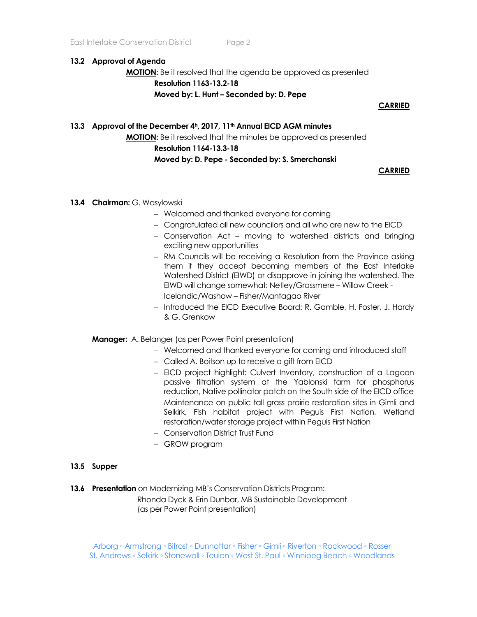#### **13.2 Approval of Agenda**

**MOTION:** Be it resolved that the agenda be approved as presented **Resolution 1163-13.2-18 Moved by: L. Hunt – Seconded by: D. Pepe**

## **CARRIED**

# **13.3 Approval of the December 4h, 2017, 11th Annual EICD AGM minutes MOTION:** Be it resolved that the minutes be approved as presented **Resolution 1164-13.3-18 Moved by: D. Pepe - Seconded by: S. Smerchanski**

## **CARRIED**

- **13.4 Chairman:** G. Wasylowski
	- − Welcomed and thanked everyone for coming
	- − Congratulated all new councilors and all who are new to the EICD
	- − Conservation Act moving to watershed districts and bringing exciting new opportunities
	- − RM Councils will be receiving a Resolution from the Province asking them if they accept becoming members of the East Interlake Watershed District (EIWD) or disapprove in joining the watershed. The EIWD will change somewhat: Netley/Grassmere – Willow Creek - Icelandic/Washow – Fisher/Mantagao River
	- − Introduced the EICD Executive Board: R. Gamble, H. Foster, J. Hardy & G. Grenkow

**Manager:** A. Belanger (as per Power Point presentation)

- − Welcomed and thanked everyone for coming and introduced staff
- − Called A. Boitson up to receive a gift from EICD
- − EICD project highlight: Culvert Inventory, construction of a Lagoon passive filtration system at the Yablonski farm for phosphorus reduction, Native pollinator patch on the South side of the EICD office Maintenance on public tall grass prairie restoration sites in Gimli and Selkirk, Fish habitat project with Peguis First Nation, Wetland restoration/water storage project within Peguis First Nation
- − Conservation District Trust Fund
- − GROW program

#### **13.5 Supper**

**13.6 Presentation** on Modernizing MB's Conservation Districts Program:

 Rhonda Dyck & Erin Dunbar, MB Sustainable Development (as per Power Point presentation)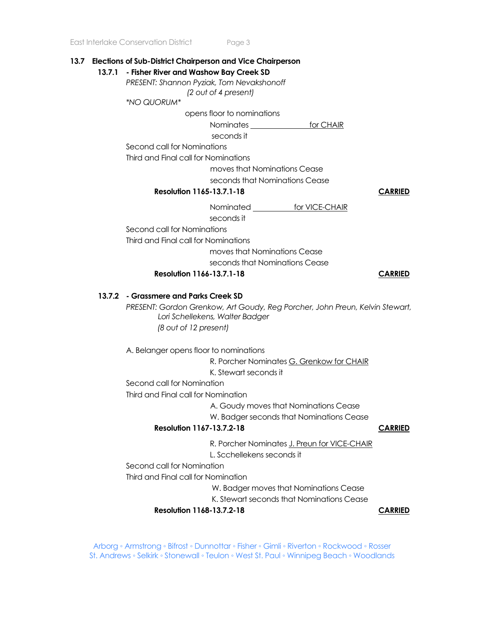## **13.7 Elections of Sub-District Chairperson and Vice Chairperson**

**13.7.1 - Fisher River and Washow Bay Creek SD** *PRESENT: Shannon Pyziak, Tom Nevakshonoff (2 out of 4 present) \*NO QUORUM\** opens floor to nominations Nominates for CHAIR seconds it Second call for Nominations Third and Final call for Nominations moves that Nominations Cease seconds that Nominations Cease **Resolution 1165-13.7.1-18 CARRIED** Nominated **for VICE-CHAIR**  seconds it Second call for Nominations Third and Final call for Nominations moves that Nominations Cease seconds that Nominations Cease **Resolution 1166-13.7.1-18 CARRIED 13.7.2 - Grassmere and Parks Creek SD** *PRESENT: Gordon Grenkow, Art Goudy, Reg Porcher, John Preun, Kelvin Stewart, Lori Schellekens, Walter Badger (8 out of 12 present)* A. Belanger opens floor to nominations R. Porcher Nominates G. Grenkow for CHAIR K. Stewart seconds it Second call for Nomination Third and Final call for Nomination A. Goudy moves that Nominations Cease W. Badger seconds that Nominations Cease **Resolution 1167-13.7.2-18 CARRIED** R. Porcher Nominates J. Preun for VICE-CHAIR L. Scchellekens seconds it Second call for Nomination Third and Final call for Nomination W. Badger moves that Nominations Cease K. Stewart seconds that Nominations Cease **Resolution** 1168-13.7.2-18 CARRIED

Arborg ◦ Armstrong ◦ Bifrost ◦ Dunnottar ◦ Fisher ◦ Gimli ◦ Riverton ◦ Rockwood ◦ Rosser St. Andrews ◦ Selkirk ◦ Stonewall ◦ Teulon ◦ West St. Paul ◦ Winnipeg Beach ◦ Woodlands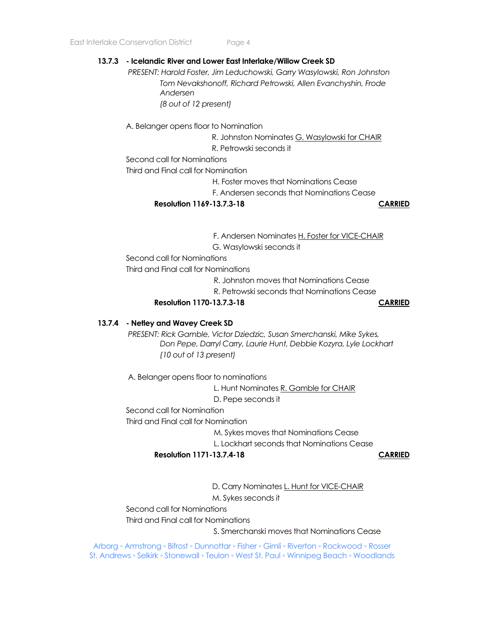#### **13.7.3 - Icelandic River and Lower East Interlake/Willow Creek SD**

*PRESENT: Harold Foster, Jim Leduchowski, Garry Wasylowski, Ron Johnston Tom Nevakshonoff, Richard Petrowski, Allen Evanchyshin, Frode Andersen (8 out of 12 present)*

A. Belanger opens floor to Nomination

R. Johnston Nominates G. Wasylowski for CHAIR

R. Petrowski seconds it

Second call for Nominations

Third and Final call for Nomination

H. Foster moves that Nominations Cease

F. Andersen seconds that Nominations Cease

**Resolution 1169-13.7.3-18 CARRIED**

F. Andersen Nominates H. Foster for VICE-CHAIR G. Wasylowski seconds it

Second call for Nominations

Third and Final call for Nominations

R. Johnston moves that Nominations Cease

R. Petrowski seconds that Nominations Cease

**Resolution 1170-13.7.3-18 CARRIED**

#### **13.7.4 - Netley and Wavey Creek SD**

*PRESENT: Rick Gamble, Victor Dziedzic, Susan Smerchanski, Mike Sykes, Don Pepe, Darryl Carry, Laurie Hunt, Debbie Kozyra, Lyle Lockhart (10 out of 13 present)*

A. Belanger opens floor to nominations

 L. Hunt Nominates R. Gamble for CHAIR D. Pepe seconds it

Second call for Nomination

Third and Final call for Nomination

M. Sykes moves that Nominations Cease

L. Lockhart seconds that Nominations Cease

**Resolution 1171-13.7.4-18 CARRIED**

D. Carry Nominates L. Hunt for VICE-CHAIR

M. Sykes seconds it

Second call for Nominations

Third and Final call for Nominations

S. Smerchanski moves that Nominations Cease

Arborg ◦ Armstrong ◦ Bifrost ◦ Dunnottar ◦ Fisher ◦ Gimli ◦ Riverton ◦ Rockwood ◦ Rosser St. Andrews ◦ Selkirk ◦ Stonewall ◦ Teulon ◦ West St. Paul ◦ Winnipeg Beach ◦ Woodlands